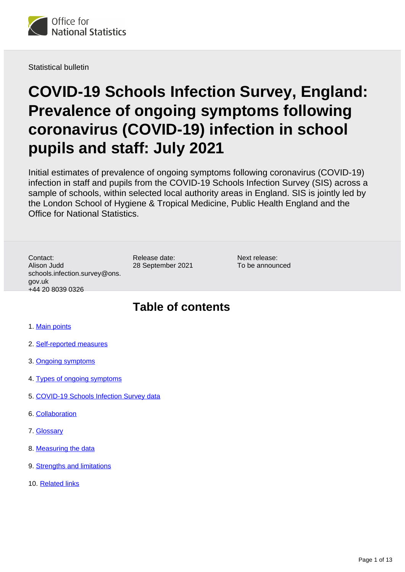

Statistical bulletin

# **COVID-19 Schools Infection Survey, England: Prevalence of ongoing symptoms following coronavirus (COVID-19) infection in school pupils and staff: July 2021**

Initial estimates of prevalence of ongoing symptoms following coronavirus (COVID-19) infection in staff and pupils from the COVID-19 Schools Infection Survey (SIS) across a sample of schools, within selected local authority areas in England. SIS is jointly led by the London School of Hygiene & Tropical Medicine, Public Health England and the Office for National Statistics.

Contact: Alison Judd schools.infection.survey@ons. gov.uk +44 20 8039 0326

Release date: 28 September 2021

Next release: To be announced

## **Table of contents**

- 1. [Main points](#page-1-0)
- 2. [Self-reported measures](#page-1-1)
- 3. [Ongoing symptoms](#page-2-0)
- 4. [Types of ongoing symptoms](#page-7-0)
- 5. [COVID-19 Schools Infection Survey data](#page-8-0)
- 6. [Collaboration](#page-8-1)
- 7. [Glossary](#page-8-2)
- 8. [Measuring the data](#page-9-0)
- 9. [Strengths and limitations](#page-10-0)
- 10. [Related links](#page-12-0)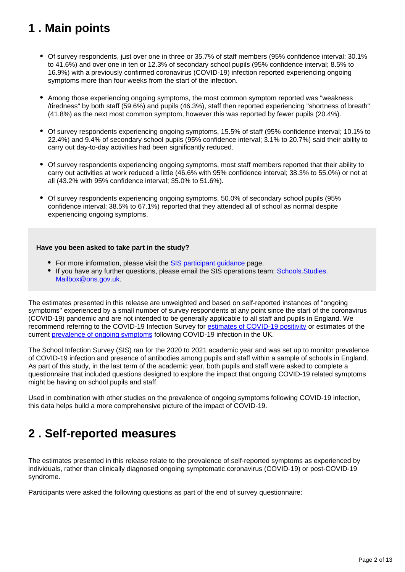## <span id="page-1-0"></span>**1 . Main points**

- Of survey respondents, just over one in three or 35.7% of staff members (95% confidence interval; 30.1% to 41.6%) and over one in ten or 12.3% of secondary school pupils (95% confidence interval; 8.5% to 16.9%) with a previously confirmed coronavirus (COVID-19) infection reported experiencing ongoing symptoms more than four weeks from the start of the infection.
- Among those experiencing ongoing symptoms, the most common symptom reported was "weakness /tiredness" by both staff (59.6%) and pupils (46.3%), staff then reported experiencing "shortness of breath" (41.8%) as the next most common symptom, however this was reported by fewer pupils (20.4%).
- Of survey respondents experiencing ongoing symptoms, 15.5% of staff (95% confidence interval; 10.1% to 22.4%) and 9.4% of secondary school pupils (95% confidence interval; 3.1% to 20.7%) said their ability to carry out day-to-day activities had been significantly reduced.
- Of survey respondents experiencing ongoing symptoms, most staff members reported that their ability to carry out activities at work reduced a little (46.6% with 95% confidence interval; 38.3% to 55.0%) or not at all (43.2% with 95% confidence interval; 35.0% to 51.6%).
- Of survey respondents experiencing ongoing symptoms, 50.0% of secondary school pupils (95% confidence interval; 38.5% to 67.1%) reported that they attended all of school as normal despite experiencing ongoing symptoms.

### **Have you been asked to take part in the study?**

- For more information, please visit the **SIS** participant quidance page.
- If you have any further questions, please email the SIS operations team: Schools. Studies. [Mailbox@ons.gov.uk.](mailto:Schools.Studies.Mailbox@ons.gov.uk)

The estimates presented in this release are unweighted and based on self-reported instances of "ongoing symptoms" experienced by a small number of survey respondents at any point since the start of the coronavirus (COVID-19) pandemic and are not intended to be generally applicable to all staff and pupils in England. We recommend referring to the COVID-19 Infection Survey for [estimates of COVID-19 positivity](https://www.ons.gov.uk/peoplepopulationandcommunity/healthandsocialcare/conditionsanddiseases/bulletins/coronaviruscovid19infectionsurveypilot/latest) or estimates of the current [prevalence of ongoing symptoms](https://www.ons.gov.uk/peoplepopulationandcommunity/healthandsocialcare/conditionsanddiseases/bulletins/prevalenceofongoingsymptomsfollowingcoronaviruscovid19infectionintheuk/latest) following COVID-19 infection in the UK.

The School Infection Survey (SIS) ran for the 2020 to 2021 academic year and was set up to monitor prevalence of COVID-19 infection and presence of antibodies among pupils and staff within a sample of schools in England. As part of this study, in the last term of the academic year, both pupils and staff were asked to complete a questionnaire that included questions designed to explore the impact that ongoing COVID-19 related symptoms might be having on school pupils and staff.

Used in combination with other studies on the prevalence of ongoing symptoms following COVID-19 infection, this data helps build a more comprehensive picture of the impact of COVID-19.

## <span id="page-1-1"></span>**2 . Self-reported measures**

The estimates presented in this release relate to the prevalence of self-reported symptoms as experienced by individuals, rather than clinically diagnosed ongoing symptomatic coronavirus (COVID-19) or post-COVID-19 syndrome.

Participants were asked the following questions as part of the end of survey questionnaire: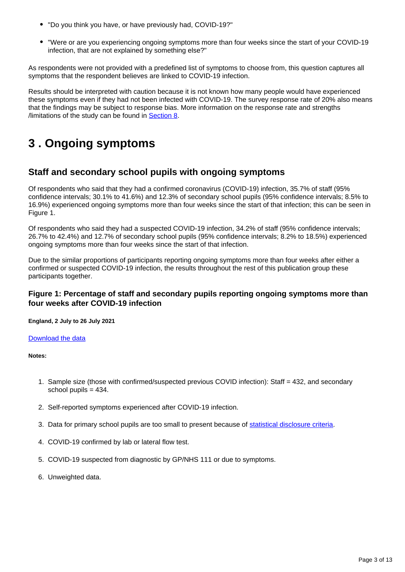- "Do you think you have, or have previously had, COVID-19?"
- "Were or are you experiencing ongoing symptoms more than four weeks since the start of your COVID-19 infection, that are not explained by something else?"

As respondents were not provided with a predefined list of symptoms to choose from, this question captures all symptoms that the respondent believes are linked to COVID-19 infection.

Results should be interpreted with caution because it is not known how many people would have experienced these symptoms even if they had not been infected with COVID-19. The survey response rate of 20% also means that the findings may be subject to response bias. More information on the response rate and strengths /limitations of the study can be found in [Section 8](https://www.ons.gov.uk/peoplepopulationandcommunity/healthandsocialcare/conditionsanddiseases/bulletins/covid19schoolsinfectionsurveyenglandprevalenceofongoingsymptomsfollowingcoronaviruscovid19infectioninschoolpupilsandstaff/july2021#measuring-the-data).

## <span id="page-2-0"></span>**3 . Ongoing symptoms**

### **Staff and secondary school pupils with ongoing symptoms**

Of respondents who said that they had a confirmed coronavirus (COVID-19) infection, 35.7% of staff (95% confidence intervals; 30.1% to 41.6%) and 12.3% of secondary school pupils (95% confidence intervals; 8.5% to 16.9%) experienced ongoing symptoms more than four weeks since the start of that infection; this can be seen in Figure 1.

Of respondents who said they had a suspected COVID-19 infection, 34.2% of staff (95% confidence intervals; 26.7% to 42.4%) and 12.7% of secondary school pupils (95% confidence intervals; 8.2% to 18.5%) experienced ongoing symptoms more than four weeks since the start of that infection.

Due to the similar proportions of participants reporting ongoing symptoms more than four weeks after either a confirmed or suspected COVID-19 infection, the results throughout the rest of this publication group these participants together.

### **Figure 1: Percentage of staff and secondary pupils reporting ongoing symptoms more than four weeks after COVID-19 infection**

**England, 2 July to 26 July 2021**

### [Download the data](https://www.ons.gov.uk/visualisations/dvc1586/fig1/datadownload.xlsx)

- 1. Sample size (those with confirmed/suspected previous COVID infection): Staff = 432, and secondary school pupils = 434.
- 2. Self-reported symptoms experienced after COVID-19 infection.
- 3. Data for primary school pupils are too small to present because of [statistical disclosure criteria.](https://www.ons.gov.uk/methodology/methodologytopicsandstatisticalconcepts/disclosurecontrol/policyforsocialsurveymicrodata)
- 4. COVID-19 confirmed by lab or lateral flow test.
- 5. COVID-19 suspected from diagnostic by GP/NHS 111 or due to symptoms.
- 6. Unweighted data.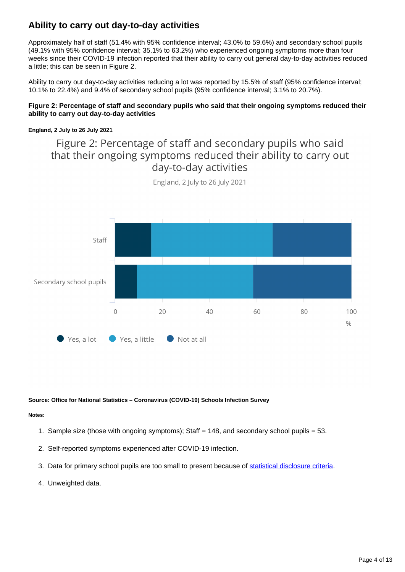### **Ability to carry out day-to-day activities**

Approximately half of staff (51.4% with 95% confidence interval; 43.0% to 59.6%) and secondary school pupils (49.1% with 95% confidence interval; 35.1% to 63.2%) who experienced ongoing symptoms more than four weeks since their COVID-19 infection reported that their ability to carry out general day-to-day activities reduced a little; this can be seen in Figure 2.

Ability to carry out day-to-day activities reducing a lot was reported by 15.5% of staff (95% confidence interval; 10.1% to 22.4%) and 9.4% of secondary school pupils (95% confidence interval; 3.1% to 20.7%).

### **Figure 2: Percentage of staff and secondary pupils who said that their ongoing symptoms reduced their ability to carry out day-to-day activities**

### **England, 2 July to 26 July 2021**

## Figure 2: Percentage of staff and secondary pupils who said that their ongoing symptoms reduced their ability to carry out day-to-day activities



England, 2 July to 26 July 2021

#### **Source: Office for National Statistics – Coronavirus (COVID-19) Schools Infection Survey**

- 1. Sample size (those with ongoing symptoms); Staff = 148, and secondary school pupils = 53.
- 2. Self-reported symptoms experienced after COVID-19 infection.
- 3. Data for primary school pupils are too small to present because of [statistical disclosure criteria.](https://www.ons.gov.uk/methodology/methodologytopicsandstatisticalconcepts/disclosurecontrol/policyforsocialsurveymicrodata)
- 4. Unweighted data.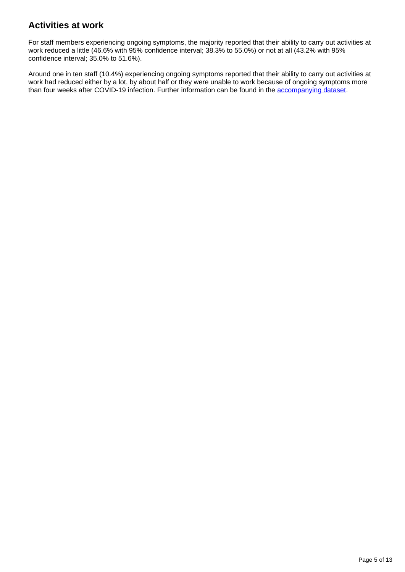### **Activities at work**

For staff members experiencing ongoing symptoms, the majority reported that their ability to carry out activities at work reduced a little (46.6% with 95% confidence interval; 38.3% to 55.0%) or not at all (43.2% with 95% confidence interval; 35.0% to 51.6%).

Around one in ten staff (10.4%) experiencing ongoing symptoms reported that their ability to carry out activities at work had reduced either by a lot, by about half or they were unable to work because of ongoing symptoms more than four weeks after COVID-19 infection. Further information can be found in the [accompanying dataset.](https://www.ons.gov.uk/peoplepopulationandcommunity/healthandsocialcare/conditionsanddiseases/datasets/covid19schoolsinfectionsurveyenglandprevalenceofongoingsymptomsfollowingcoronaviruscovid19infectioninschoolpupilsandstaff)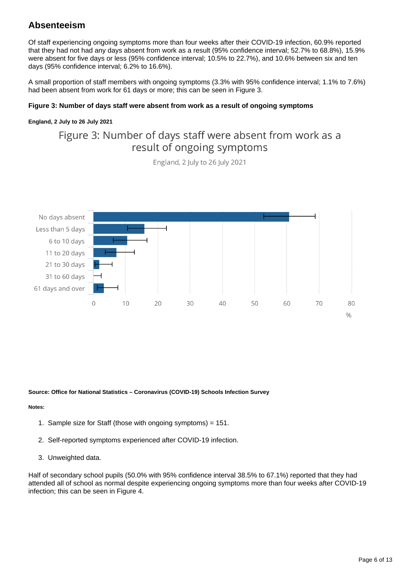### **Absenteeism**

Of staff experiencing ongoing symptoms more than four weeks after their COVID-19 infection, 60.9% reported that they had not had any days absent from work as a result (95% confidence interval; 52.7% to 68.8%), 15.9% were absent for five days or less (95% confidence interval; 10.5% to 22.7%), and 10.6% between six and ten days (95% confidence interval; 6.2% to 16.6%).

A small proportion of staff members with ongoing symptoms (3.3% with 95% confidence interval; 1.1% to 7.6%) had been absent from work for 61 days or more; this can be seen in Figure 3.

### **Figure 3: Number of days staff were absent from work as a result of ongoing symptoms**

#### **England, 2 July to 26 July 2021**

## Figure 3: Number of days staff were absent from work as a result of ongoing symptoms

England, 2 July to 26 July 2021



#### **Source: Office for National Statistics – Coronavirus (COVID-19) Schools Infection Survey**

### **Notes:**

- 1. Sample size for Staff (those with ongoing symptoms) = 151.
- 2. Self-reported symptoms experienced after COVID-19 infection.
- 3. Unweighted data.

Half of secondary school pupils (50.0% with 95% confidence interval 38.5% to 67.1%) reported that they had attended all of school as normal despite experiencing ongoing symptoms more than four weeks after COVID-19 infection; this can be seen in Figure 4.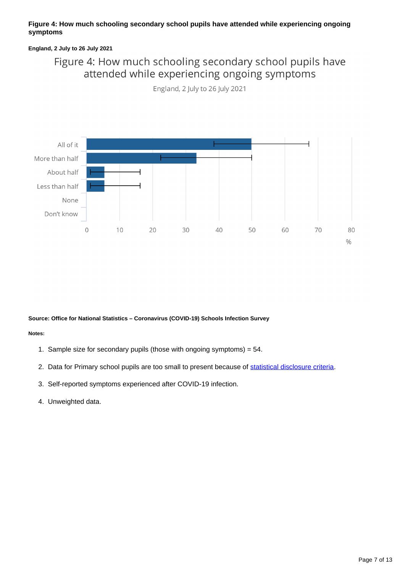### **Figure 4: How much schooling secondary school pupils have attended while experiencing ongoing symptoms**

### **England, 2 July to 26 July 2021**

## Figure 4: How much schooling secondary school pupils have attended while experiencing ongoing symptoms

England, 2 July to 26 July 2021



#### **Source: Office for National Statistics – Coronavirus (COVID-19) Schools Infection Survey**

- 1. Sample size for secondary pupils (those with ongoing symptoms) = 54.
- 2. Data for Primary school pupils are too small to present because of [statistical disclosure criteria](https://www.ons.gov.uk/methodology/methodologytopicsandstatisticalconcepts/disclosurecontrol/policyforsocialsurveymicrodata).
- 3. Self-reported symptoms experienced after COVID-19 infection.
- 4. Unweighted data.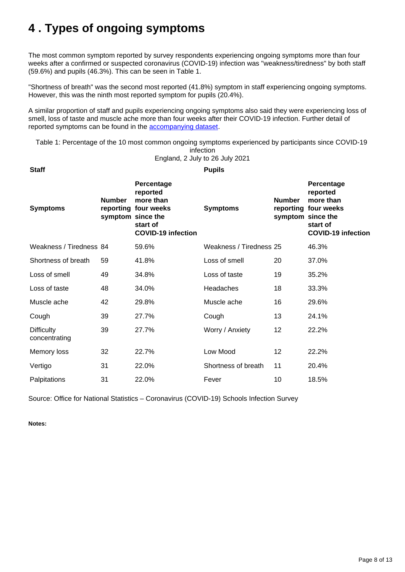## <span id="page-7-0"></span>**4 . Types of ongoing symptoms**

**Staff Pupils**

The most common symptom reported by survey respondents experiencing ongoing symptoms more than four weeks after a confirmed or suspected coronavirus (COVID-19) infection was "weakness/tiredness" by both staff (59.6%) and pupils (46.3%). This can be seen in Table 1.

"Shortness of breath" was the second most reported (41.8%) symptom in staff experiencing ongoing symptoms. However, this was the ninth most reported symptom for pupils (20.4%).

A similar proportion of staff and pupils experiencing ongoing symptoms also said they were experiencing loss of smell, loss of taste and muscle ache more than four weeks after their COVID-19 infection. Further detail of reported symptoms can be found in the [accompanying dataset.](https://www.ons.gov.uk/peoplepopulationandcommunity/healthandsocialcare/conditionsanddiseases/datasets/covid19schoolsinfectionsurveyenglandprevalenceofongoingsymptomsfollowingcoronaviruscovid19infectioninschoolpupilsandstaff)

Table 1: Percentage of the 10 most common ongoing symptoms experienced by participants since COVID-19

infection

England, 2 July to 26 July 2021

| <b>Symptoms</b>                    | <b>Number</b> | Percentage<br>reported<br>more than<br>reporting four weeks<br>symptom since the<br>start of<br><b>COVID-19 infection</b> | <b>Symptoms</b>         | <b>Number</b><br>symptom since the | Percentage<br>reported<br>more than<br>reporting four weeks<br>start of<br><b>COVID-19 infection</b> |
|------------------------------------|---------------|---------------------------------------------------------------------------------------------------------------------------|-------------------------|------------------------------------|------------------------------------------------------------------------------------------------------|
| Weakness / Tiredness 84            |               | 59.6%                                                                                                                     | Weakness / Tiredness 25 |                                    | 46.3%                                                                                                |
| Shortness of breath                | 59            | 41.8%                                                                                                                     | Loss of smell           | 20                                 | 37.0%                                                                                                |
| Loss of smell                      | 49            | 34.8%                                                                                                                     | Loss of taste           | 19                                 | 35.2%                                                                                                |
| Loss of taste                      | 48            | 34.0%                                                                                                                     | Headaches               | 18                                 | 33.3%                                                                                                |
| Muscle ache                        | 42            | 29.8%                                                                                                                     | Muscle ache             | 16                                 | 29.6%                                                                                                |
| Cough                              | 39            | 27.7%                                                                                                                     | Cough                   | 13                                 | 24.1%                                                                                                |
| <b>Difficulty</b><br>concentrating | 39            | 27.7%                                                                                                                     | Worry / Anxiety         | 12                                 | 22.2%                                                                                                |
| Memory loss                        | 32            | 22.7%                                                                                                                     | Low Mood                | 12                                 | 22.2%                                                                                                |
| Vertigo                            | 31            | 22.0%                                                                                                                     | Shortness of breath     | 11                                 | 20.4%                                                                                                |
| Palpitations                       | 31            | 22.0%                                                                                                                     | Fever                   | 10                                 | 18.5%                                                                                                |

Source: Office for National Statistics – Coronavirus (COVID-19) Schools Infection Survey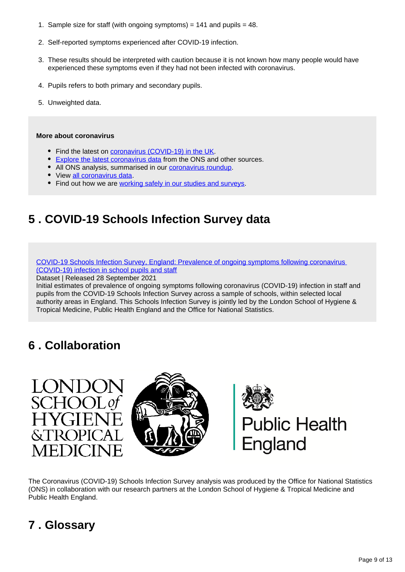- 1. Sample size for staff (with ongoing symptoms) = 141 and pupils = 48.
- 2. Self-reported symptoms experienced after COVID-19 infection.
- 3. These results should be interpreted with caution because it is not known how many people would have experienced these symptoms even if they had not been infected with coronavirus.
- 4. Pupils refers to both primary and secondary pupils.
- 5. Unweighted data.

### **More about coronavirus**

- Find the latest on [coronavirus \(COVID-19\) in the UK.](https://www.ons.gov.uk/peoplepopulationandcommunity/healthandsocialcare/conditionsanddiseases)
- **[Explore the latest coronavirus data](https://www.ons.gov.uk/peoplepopulationandcommunity/healthandsocialcare/conditionsanddiseases/articles/coronaviruscovid19/latestinsights) from the ONS and other sources.**
- All ONS analysis, summarised in our [coronavirus roundup.](https://www.ons.gov.uk/peoplepopulationandcommunity/healthandsocialcare/conditionsanddiseases/articles/coronaviruscovid19roundup/latest)
- View [all coronavirus data](https://www.ons.gov.uk/peoplepopulationandcommunity/healthandsocialcare/conditionsanddiseases/datalist).
- Find out how we are [working safely in our studies and surveys.](https://www.ons.gov.uk/news/statementsandletters/ensuringyoursafetyduringcovid19)

## <span id="page-8-0"></span>**5 . COVID-19 Schools Infection Survey data**

[COVID-19 Schools Infection Survey, England: Prevalence of ongoing symptoms following coronavirus](https://www.ons.gov.uk/peoplepopulationandcommunity/healthandsocialcare/conditionsanddiseases/datasets/covid19schoolsinfectionsurveyenglandprevalenceofongoingsymptomsfollowingcoronaviruscovid19infectioninschoolpupilsandstaff)  [\(COVID-19\) infection in school pupils and staff](https://www.ons.gov.uk/peoplepopulationandcommunity/healthandsocialcare/conditionsanddiseases/datasets/covid19schoolsinfectionsurveyenglandprevalenceofongoingsymptomsfollowingcoronaviruscovid19infectioninschoolpupilsandstaff)

Dataset | Released 28 September 2021

Initial estimates of prevalence of ongoing symptoms following coronavirus (COVID-19) infection in staff and pupils from the COVID-19 Schools Infection Survey across a sample of schools, within selected local authority areas in England. This Schools Infection Survey is jointly led by the London School of Hygiene & Tropical Medicine, Public Health England and the Office for National Statistics.

## <span id="page-8-1"></span>**6 . Collaboration**



The Coronavirus (COVID-19) Schools Infection Survey analysis was produced by the Office for National Statistics (ONS) in collaboration with our research partners at the London School of Hygiene & Tropical Medicine and Public Health England.

## <span id="page-8-2"></span>**7 . Glossary**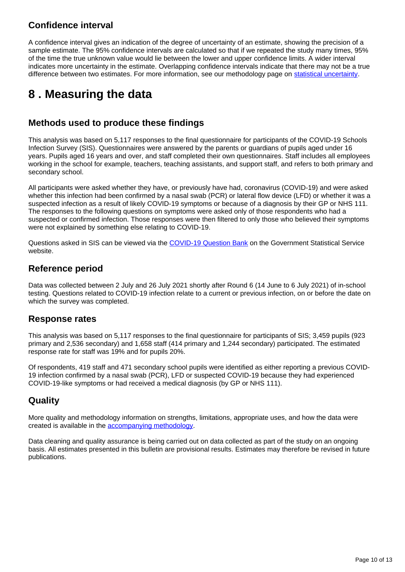### **Confidence interval**

A confidence interval gives an indication of the degree of uncertainty of an estimate, showing the precision of a sample estimate. The 95% confidence intervals are calculated so that if we repeated the study many times, 95% of the time the true unknown value would lie between the lower and upper confidence limits. A wider interval indicates more uncertainty in the estimate. Overlapping confidence intervals indicate that there may not be a true difference between two estimates. For more information, see our methodology page on [statistical uncertainty](https://www.ons.gov.uk/methodology/methodologytopicsandstatisticalconcepts/uncertaintyandhowwemeasureit#confidence-interval).

## <span id="page-9-0"></span>**8 . Measuring the data**

### **Methods used to produce these findings**

This analysis was based on 5,117 responses to the final questionnaire for participants of the COVID-19 Schools Infection Survey (SIS). Questionnaires were answered by the parents or guardians of pupils aged under 16 years. Pupils aged 16 years and over, and staff completed their own questionnaires. Staff includes all employees working in the school for example, teachers, teaching assistants, and support staff, and refers to both primary and secondary school.

All participants were asked whether they have, or previously have had, coronavirus (COVID-19) and were asked whether this infection had been confirmed by a nasal swab (PCR) or lateral flow device (LFD) or whether it was a suspected infection as a result of likely COVID-19 symptoms or because of a diagnosis by their GP or NHS 111. The responses to the following questions on symptoms were asked only of those respondents who had a suspected or confirmed infection. Those responses were then filtered to only those who believed their symptoms were not explained by something else relating to COVID-19.

Questions asked in SIS can be viewed via the [COVID-19 Question Bank](https://gss.civilservice.gov.uk/blog/have-you-got-a-question-about-covid-19/) on the Government Statistical Service website.

### **Reference period**

Data was collected between 2 July and 26 July 2021 shortly after Round 6 (14 June to 6 July 2021) of in-school testing. Questions related to COVID-19 infection relate to a current or previous infection, on or before the date on which the survey was completed.

### **Response rates**

This analysis was based on 5,117 responses to the final questionnaire for participants of SIS; 3,459 pupils (923 primary and 2,536 secondary) and 1,658 staff (414 primary and 1,244 secondary) participated. The estimated response rate for staff was 19% and for pupils 20%.

Of respondents, 419 staff and 471 secondary school pupils were identified as either reporting a previous COVID-19 infection confirmed by a nasal swab (PCR), LFD or suspected COVID-19 because they had experienced COVID-19-like symptoms or had received a medical diagnosis (by GP or NHS 111).

### **Quality**

More quality and methodology information on strengths, limitations, appropriate uses, and how the data were created is available in the [accompanying methodology.](https://www.ons.gov.uk/peoplepopulationandcommunity/healthandsocialcare/conditionsanddiseases/methodologies/covid19schoolsinfectionsurveymethodsandfurtherinformation)

Data cleaning and quality assurance is being carried out on data collected as part of the study on an ongoing basis. All estimates presented in this bulletin are provisional results. Estimates may therefore be revised in future publications.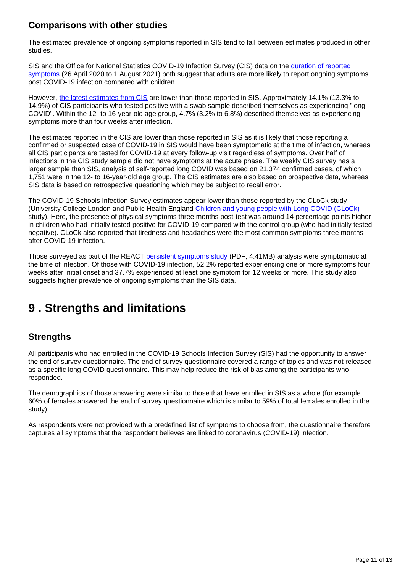### **Comparisons with other studies**

The estimated prevalence of ongoing symptoms reported in SIS tend to fall between estimates produced in other studies.

SIS and the Office for National Statistics COVID-19 Infection Survey (CIS) data on the [duration of reported](https://www.ons.gov.uk/peoplepopulationandcommunity/healthandsocialcare/conditionsanddiseases/articles/technicalarticleupdatedestimatesoftheprevalenceofpostacutesymptomsamongpeoplewithcoronaviruscovid19intheuk/26april2020to1august2021#approach-3-prevalence-of-self-reported-long-covid)  [symptoms](https://www.ons.gov.uk/peoplepopulationandcommunity/healthandsocialcare/conditionsanddiseases/articles/technicalarticleupdatedestimatesoftheprevalenceofpostacutesymptomsamongpeoplewithcoronaviruscovid19intheuk/26april2020to1august2021#approach-3-prevalence-of-self-reported-long-covid) (26 April 2020 to 1 August 2021) both suggest that adults are more likely to report ongoing symptoms post COVID-19 infection compared with children.

However, [the latest estimates from CIS](https://www.ons.gov.uk/peoplepopulationandcommunity/healthandsocialcare/conditionsanddiseases/articles/technicalarticleupdatedestimatesoftheprevalenceofpostacutesymptomsamongpeoplewithcoronaviruscovid19intheuk/26april2020to1august2021) are lower than those reported in SIS. Approximately 14.1% (13.3% to 14.9%) of CIS participants who tested positive with a swab sample described themselves as experiencing "long COVID". Within the 12- to 16-year-old age group, 4.7% (3.2% to 6.8%) described themselves as experiencing symptoms more than four weeks after infection.

The estimates reported in the CIS are lower than those reported in SIS as it is likely that those reporting a confirmed or suspected case of COVID-19 in SIS would have been symptomatic at the time of infection, whereas all CIS participants are tested for COVID-19 at every follow-up visit regardless of symptoms. Over half of infections in the CIS study sample did not have symptoms at the acute phase. The weekly CIS survey has a larger sample than SIS, analysis of self-reported long COVID was based on 21,374 confirmed cases, of which 1,751 were in the 12- to 16-year-old age group. The CIS estimates are also based on prospective data, whereas SIS data is based on retrospective questioning which may be subject to recall error.

The COVID-19 Schools Infection Survey estimates appear lower than those reported by the CLoCk study (University College London and Public Health England [Children and young people with Long COVID \(CLoCk\)](https://www.researchsquare.com/article/rs-798316/v1) study). Here, the presence of physical symptoms three months post-test was around 14 percentage points higher in children who had initially tested positive for COVID-19 compared with the control group (who had initially tested negative). CLoCk also reported that tiredness and headaches were the most common symptoms three months after COVID-19 infection.

Those surveyed as part of the REACT [persistent symptoms study](https://spiral.imperial.ac.uk/bitstream/10044/1/89844/9/REACT_long_covid_paper_final.pdf) (PDF, 4.41MB) analysis were symptomatic at the time of infection. Of those with COVID-19 infection, 52.2% reported experiencing one or more symptoms four weeks after initial onset and 37.7% experienced at least one symptom for 12 weeks or more. This study also suggests higher prevalence of ongoing symptoms than the SIS data.

## <span id="page-10-0"></span>**9 . Strengths and limitations**

### **Strengths**

All participants who had enrolled in the COVID-19 Schools Infection Survey (SIS) had the opportunity to answer the end of survey questionnaire. The end of survey questionnaire covered a range of topics and was not released as a specific long COVID questionnaire. This may help reduce the risk of bias among the participants who responded.

The demographics of those answering were similar to those that have enrolled in SIS as a whole (for example 60% of females answered the end of survey questionnaire which is similar to 59% of total females enrolled in the study).

As respondents were not provided with a predefined list of symptoms to choose from, the questionnaire therefore captures all symptoms that the respondent believes are linked to coronavirus (COVID-19) infection.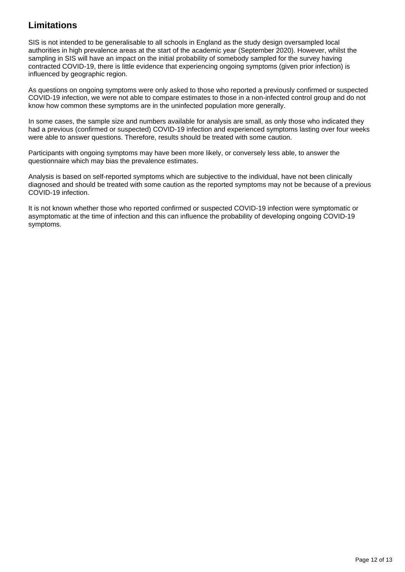### **Limitations**

SIS is not intended to be generalisable to all schools in England as the study design oversampled local authorities in high prevalence areas at the start of the academic year (September 2020). However, whilst the sampling in SIS will have an impact on the initial probability of somebody sampled for the survey having contracted COVID-19, there is little evidence that experiencing ongoing symptoms (given prior infection) is influenced by geographic region.

As questions on ongoing symptoms were only asked to those who reported a previously confirmed or suspected COVID-19 infection, we were not able to compare estimates to those in a non-infected control group and do not know how common these symptoms are in the uninfected population more generally.

In some cases, the sample size and numbers available for analysis are small, as only those who indicated they had a previous (confirmed or suspected) COVID-19 infection and experienced symptoms lasting over four weeks were able to answer questions. Therefore, results should be treated with some caution.

Participants with ongoing symptoms may have been more likely, or conversely less able, to answer the questionnaire which may bias the prevalence estimates.

Analysis is based on self-reported symptoms which are subjective to the individual, have not been clinically diagnosed and should be treated with some caution as the reported symptoms may not be because of a previous COVID-19 infection.

It is not known whether those who reported confirmed or suspected COVID-19 infection were symptomatic or asymptomatic at the time of infection and this can influence the probability of developing ongoing COVID-19 symptoms.